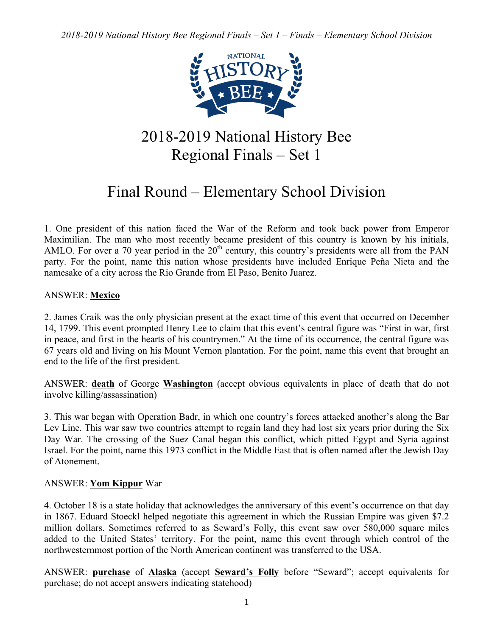

# 2018-2019 National History Bee Regional Finals – Set 1

# Final Round – Elementary School Division

1. One president of this nation faced the War of the Reform and took back power from Emperor Maximilian. The man who most recently became president of this country is known by his initials, AMLO. For over a 70 year period in the  $20<sup>th</sup>$  century, this country's presidents were all from the PAN party. For the point, name this nation whose presidents have included Enrique Peña Nieta and the namesake of a city across the Rio Grande from El Paso, Benito Juarez.

## ANSWER: **Mexico**

2. James Craik was the only physician present at the exact time of this event that occurred on December 14, 1799. This event prompted Henry Lee to claim that this event's central figure was "First in war, first in peace, and first in the hearts of his countrymen." At the time of its occurrence, the central figure was 67 years old and living on his Mount Vernon plantation. For the point, name this event that brought an end to the life of the first president.

ANSWER: **death** of George **Washington** (accept obvious equivalents in place of death that do not involve killing/assassination)

3. This war began with Operation Badr, in which one country's forces attacked another's along the Bar Lev Line. This war saw two countries attempt to regain land they had lost six years prior during the Six Day War. The crossing of the Suez Canal began this conflict, which pitted Egypt and Syria against Israel. For the point, name this 1973 conflict in the Middle East that is often named after the Jewish Day of Atonement.

## ANSWER: **Yom Kippur** War

4. October 18 is a state holiday that acknowledges the anniversary of this event's occurrence on that day in 1867. Eduard Stoeckl helped negotiate this agreement in which the Russian Empire was given \$7.2 million dollars. Sometimes referred to as Seward's Folly, this event saw over 580,000 square miles added to the United States' territory. For the point, name this event through which control of the northwesternmost portion of the North American continent was transferred to the USA.

ANSWER: **purchase** of **Alaska** (accept **Seward's Folly** before "Seward"; accept equivalents for purchase; do not accept answers indicating statehood)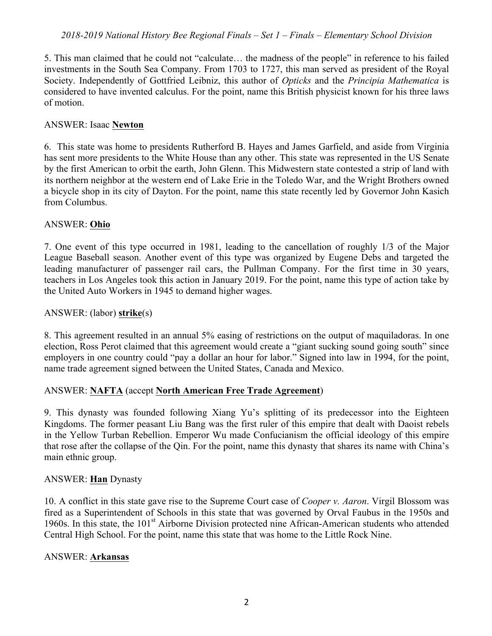5. This man claimed that he could not "calculate… the madness of the people" in reference to his failed investments in the South Sea Company. From 1703 to 1727, this man served as president of the Royal Society. Independently of Gottfried Leibniz, this author of *Opticks* and the *Principia Mathematica* is considered to have invented calculus. For the point, name this British physicist known for his three laws of motion.

#### ANSWER: Isaac **Newton**

6. This state was home to presidents Rutherford B. Hayes and James Garfield, and aside from Virginia has sent more presidents to the White House than any other. This state was represented in the US Senate by the first American to orbit the earth, John Glenn. This Midwestern state contested a strip of land with its northern neighbor at the western end of Lake Erie in the Toledo War, and the Wright Brothers owned a bicycle shop in its city of Dayton. For the point, name this state recently led by Governor John Kasich from Columbus.

#### ANSWER: **Ohio**

7. One event of this type occurred in 1981, leading to the cancellation of roughly 1/3 of the Major League Baseball season. Another event of this type was organized by Eugene Debs and targeted the leading manufacturer of passenger rail cars, the Pullman Company. For the first time in 30 years, teachers in Los Angeles took this action in January 2019. For the point, name this type of action take by the United Auto Workers in 1945 to demand higher wages.

#### ANSWER: (labor) **strike**(s)

8. This agreement resulted in an annual 5% easing of restrictions on the output of maquiladoras. In one election, Ross Perot claimed that this agreement would create a "giant sucking sound going south" since employers in one country could "pay a dollar an hour for labor." Signed into law in 1994, for the point, name trade agreement signed between the United States, Canada and Mexico.

## ANSWER: **NAFTA** (accept **North American Free Trade Agreement**)

9. This dynasty was founded following Xiang Yu's splitting of its predecessor into the Eighteen Kingdoms. The former peasant Liu Bang was the first ruler of this empire that dealt with Daoist rebels in the Yellow Turban Rebellion. Emperor Wu made Confucianism the official ideology of this empire that rose after the collapse of the Qin. For the point, name this dynasty that shares its name with China's main ethnic group.

## ANSWER: **Han** Dynasty

10. A conflict in this state gave rise to the Supreme Court case of *Cooper v. Aaron*. Virgil Blossom was fired as a Superintendent of Schools in this state that was governed by Orval Faubus in the 1950s and 1960s. In this state, the 101<sup>st</sup> Airborne Division protected nine African-American students who attended Central High School. For the point, name this state that was home to the Little Rock Nine.

## ANSWER: **Arkansas**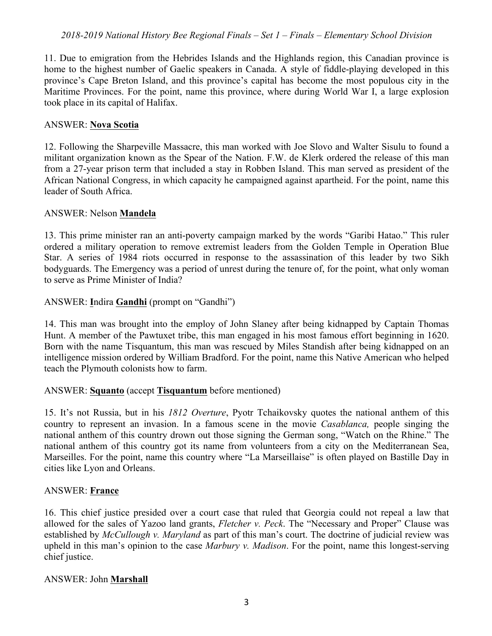11. Due to emigration from the Hebrides Islands and the Highlands region, this Canadian province is home to the highest number of Gaelic speakers in Canada. A style of fiddle-playing developed in this province's Cape Breton Island, and this province's capital has become the most populous city in the Maritime Provinces. For the point, name this province, where during World War I, a large explosion took place in its capital of Halifax.

#### ANSWER: **Nova Scotia**

12. Following the Sharpeville Massacre, this man worked with Joe Slovo and Walter Sisulu to found a militant organization known as the Spear of the Nation. F.W. de Klerk ordered the release of this man from a 27-year prison term that included a stay in Robben Island. This man served as president of the African National Congress, in which capacity he campaigned against apartheid. For the point, name this leader of South Africa.

#### ANSWER: Nelson **Mandela**

13. This prime minister ran an anti-poverty campaign marked by the words "Garibi Hatao." This ruler ordered a military operation to remove extremist leaders from the Golden Temple in Operation Blue Star. A series of 1984 riots occurred in response to the assassination of this leader by two Sikh bodyguards. The Emergency was a period of unrest during the tenure of, for the point, what only woman to serve as Prime Minister of India?

#### ANSWER: **I**ndira **Gandhi** (prompt on "Gandhi")

14. This man was brought into the employ of John Slaney after being kidnapped by Captain Thomas Hunt. A member of the Pawtuxet tribe, this man engaged in his most famous effort beginning in 1620. Born with the name Tisquantum, this man was rescued by Miles Standish after being kidnapped on an intelligence mission ordered by William Bradford. For the point, name this Native American who helped teach the Plymouth colonists how to farm.

## ANSWER: **Squanto** (accept **Tisquantum** before mentioned)

15. It's not Russia, but in his *1812 Overture*, Pyotr Tchaikovsky quotes the national anthem of this country to represent an invasion. In a famous scene in the movie *Casablanca,* people singing the national anthem of this country drown out those signing the German song, "Watch on the Rhine." The national anthem of this country got its name from volunteers from a city on the Mediterranean Sea, Marseilles. For the point, name this country where "La Marseillaise" is often played on Bastille Day in cities like Lyon and Orleans.

#### ANSWER: **France**

16. This chief justice presided over a court case that ruled that Georgia could not repeal a law that allowed for the sales of Yazoo land grants, *Fletcher v. Peck*. The "Necessary and Proper" Clause was established by *McCullough v. Maryland* as part of this man's court. The doctrine of judicial review was upheld in this man's opinion to the case *Marbury v. Madison*. For the point, name this longest-serving chief justice.

#### ANSWER: John **Marshall**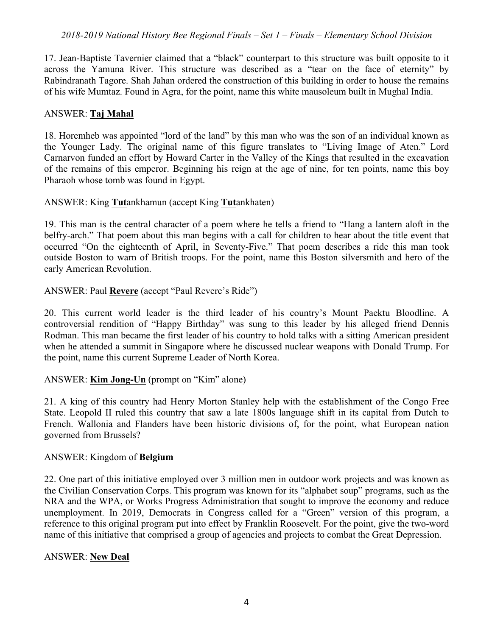17. Jean-Baptiste Tavernier claimed that a "black" counterpart to this structure was built opposite to it across the Yamuna River. This structure was described as a "tear on the face of eternity" by Rabindranath Tagore. Shah Jahan ordered the construction of this building in order to house the remains of his wife Mumtaz. Found in Agra, for the point, name this white mausoleum built in Mughal India.

#### ANSWER: **Taj Mahal**

18. Horemheb was appointed "lord of the land" by this man who was the son of an individual known as the Younger Lady. The original name of this figure translates to "Living Image of Aten." Lord Carnarvon funded an effort by Howard Carter in the Valley of the Kings that resulted in the excavation of the remains of this emperor. Beginning his reign at the age of nine, for ten points, name this boy Pharaoh whose tomb was found in Egypt.

ANSWER: King **Tut**ankhamun (accept King **Tut**ankhaten)

19. This man is the central character of a poem where he tells a friend to "Hang a lantern aloft in the belfry-arch." That poem about this man begins with a call for children to hear about the title event that occurred "On the eighteenth of April, in Seventy-Five." That poem describes a ride this man took outside Boston to warn of British troops. For the point, name this Boston silversmith and hero of the early American Revolution.

ANSWER: Paul **Revere** (accept "Paul Revere's Ride")

20. This current world leader is the third leader of his country's Mount Paektu Bloodline. A controversial rendition of "Happy Birthday" was sung to this leader by his alleged friend Dennis Rodman. This man became the first leader of his country to hold talks with a sitting American president when he attended a summit in Singapore where he discussed nuclear weapons with Donald Trump. For the point, name this current Supreme Leader of North Korea.

## ANSWER: **Kim Jong-Un** (prompt on "Kim" alone)

21. A king of this country had Henry Morton Stanley help with the establishment of the Congo Free State. Leopold II ruled this country that saw a late 1800s language shift in its capital from Dutch to French. Wallonia and Flanders have been historic divisions of, for the point, what European nation governed from Brussels?

#### ANSWER: Kingdom of **Belgium**

22. One part of this initiative employed over 3 million men in outdoor work projects and was known as the Civilian Conservation Corps. This program was known for its "alphabet soup" programs, such as the NRA and the WPA, or Works Progress Administration that sought to improve the economy and reduce unemployment. In 2019, Democrats in Congress called for a "Green" version of this program, a reference to this original program put into effect by Franklin Roosevelt. For the point, give the two-word name of this initiative that comprised a group of agencies and projects to combat the Great Depression.

#### ANSWER: **New Deal**